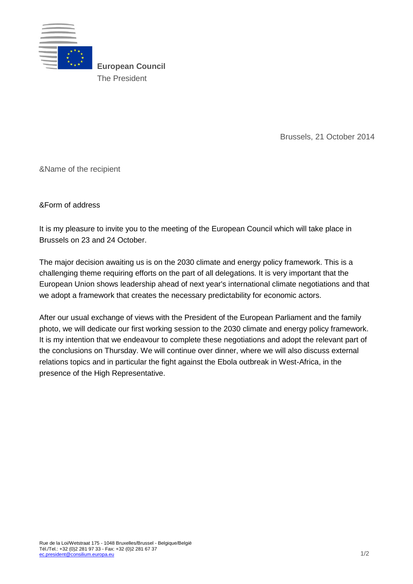

**European Council** The President

Brussels, 21 October 2014

&Name of the recipient

&Form of address

It is my pleasure to invite you to the meeting of the European Council which will take place in Brussels on 23 and 24 October.

The major decision awaiting us is on the 2030 climate and energy policy framework. This is a challenging theme requiring efforts on the part of all delegations. It is very important that the European Union shows leadership ahead of next year's international climate negotiations and that we adopt a framework that creates the necessary predictability for economic actors.

After our usual exchange of views with the President of the European Parliament and the family photo, we will dedicate our first working session to the 2030 climate and energy policy framework. It is my intention that we endeavour to complete these negotiations and adopt the relevant part of the conclusions on Thursday. We will continue over dinner, where we will also discuss external relations topics and in particular the fight against the Ebola outbreak in West-Africa, in the presence of the High Representative.